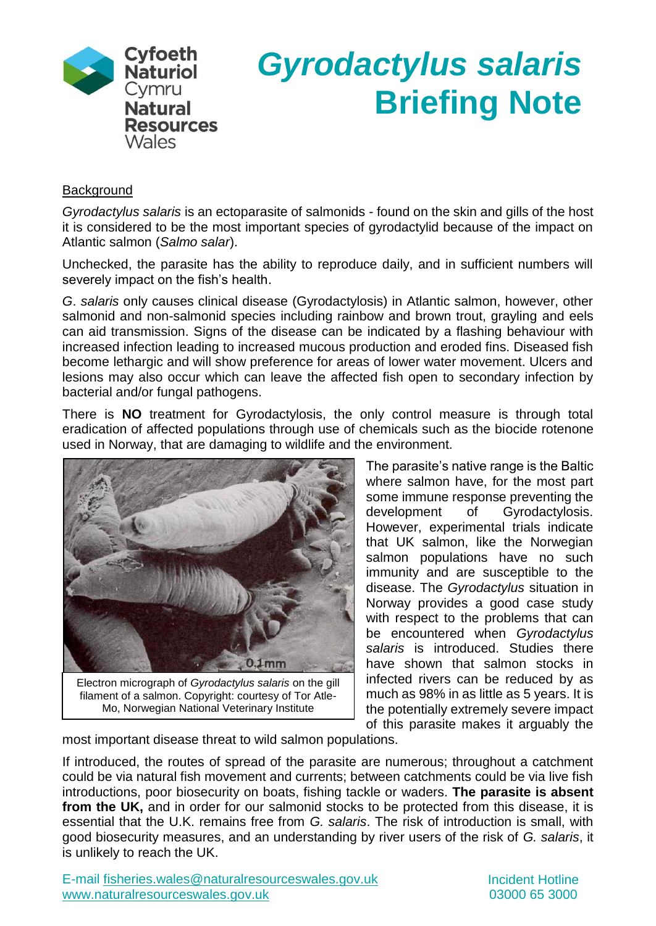

# *Gyrodactylus salaris* **Briefing Note**

### **Background**

*Gyrodactylus salaris* is an ectoparasite of salmonids - found on the skin and gills of the host it is considered to be the most important species of gyrodactylid because of the impact on Atlantic salmon (*Salmo salar*).

Unchecked, the parasite has the ability to reproduce daily, and in sufficient numbers will severely impact on the fish's health.

*G*. *salaris* only causes clinical disease (Gyrodactylosis) in Atlantic salmon, however, other salmonid and non-salmonid species including rainbow and brown trout, grayling and eels can aid transmission. Signs of the disease can be indicated by a flashing behaviour with increased infection leading to increased mucous production and eroded fins. Diseased fish become lethargic and will show preference for areas of lower water movement. Ulcers and lesions may also occur which can leave the affected fish open to secondary infection by bacterial and/or fungal pathogens.

There is **NO** treatment for Gyrodactylosis, the only control measure is through total eradication of affected populations through use of chemicals such as the biocide rotenone used in Norway, that are damaging to wildlife and the environment.



Electron micrograph of *Gyrodactylus salaris* on the gill filament of a salmon. Copyright: courtesy of Tor Atle-Mo, Norwegian National Veterinary Institute

The parasite's native range is the Baltic where salmon have, for the most part some immune response preventing the development of Gyrodactylosis. However, experimental trials indicate that UK salmon, like the Norwegian salmon populations have no such immunity and are susceptible to the disease. The *Gyrodactylus* situation in Norway provides a good case study with respect to the problems that can be encountered when *Gyrodactylus salaris* is introduced. Studies there have shown that salmon stocks in infected rivers can be reduced by as much as 98% in as little as 5 years. It is the potentially extremely severe impact of this parasite makes it arguably the

most important disease threat to wild salmon populations.

If introduced, the routes of spread of the parasite are numerous; throughout a catchment could be via natural fish movement and currents; between catchments could be via live fish introductions, poor biosecurity on boats, fishing tackle or waders. **The parasite is absent from the UK,** and in order for our salmonid stocks to be protected from this disease, it is essential that the U.K. remains free from *G. salaris*. The risk of introduction is small, with good biosecurity measures, and an understanding by river users of the risk of *G. salaris*, it is unlikely to reach the UK.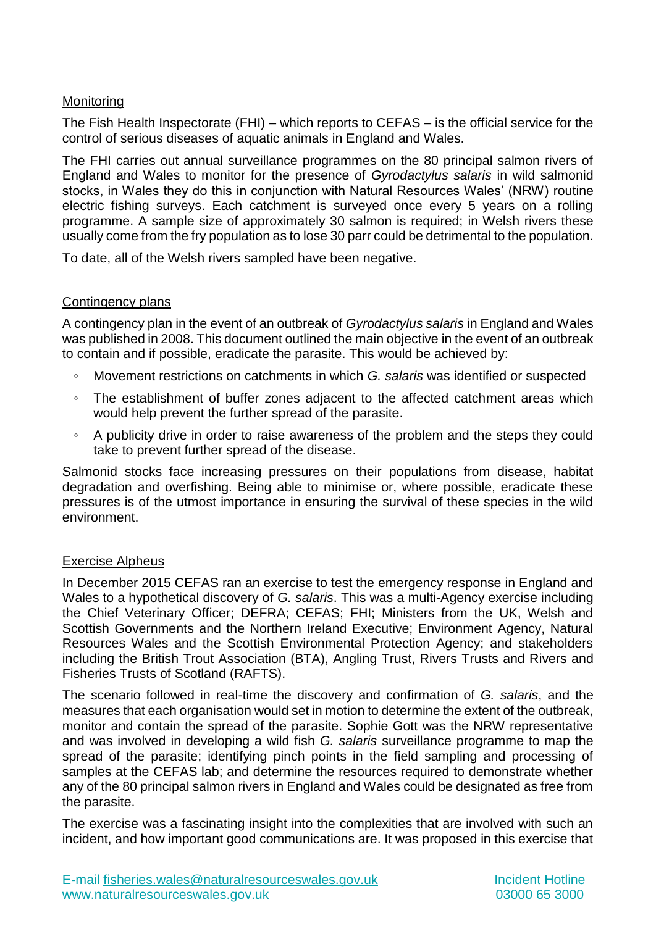## **Monitoring**

The Fish Health Inspectorate (FHI) – which reports to CEFAS – is the official service for the control of serious diseases of aquatic animals in England and Wales.

The FHI carries out annual surveillance programmes on the 80 principal salmon rivers of England and Wales to monitor for the presence of *Gyrodactylus salaris* in wild salmonid stocks, in Wales they do this in conjunction with Natural Resources Wales' (NRW) routine electric fishing surveys. Each catchment is surveyed once every 5 years on a rolling programme. A sample size of approximately 30 salmon is required; in Welsh rivers these usually come from the fry population as to lose 30 parr could be detrimental to the population.

To date, all of the Welsh rivers sampled have been negative.

## Contingency plans

A contingency plan in the event of an outbreak of *Gyrodactylus salaris* in England and Wales was published in 2008. This document outlined the main objective in the event of an outbreak to contain and if possible, eradicate the parasite. This would be achieved by:

- Movement restrictions on catchments in which *G. salaris* was identified or suspected
- The establishment of buffer zones adjacent to the affected catchment areas which would help prevent the further spread of the parasite.
- A publicity drive in order to raise awareness of the problem and the steps they could take to prevent further spread of the disease.

Salmonid stocks face increasing pressures on their populations from disease, habitat degradation and overfishing. Being able to minimise or, where possible, eradicate these pressures is of the utmost importance in ensuring the survival of these species in the wild environment.

#### Exercise Alpheus

In December 2015 CEFAS ran an exercise to test the emergency response in England and Wales to a hypothetical discovery of *G. salaris*. This was a multi-Agency exercise including the Chief Veterinary Officer; DEFRA; CEFAS; FHI; Ministers from the UK, Welsh and Scottish Governments and the Northern Ireland Executive; Environment Agency, Natural Resources Wales and the Scottish Environmental Protection Agency; and stakeholders including the British Trout Association (BTA), Angling Trust, Rivers Trusts and Rivers and Fisheries Trusts of Scotland (RAFTS).

The scenario followed in real-time the discovery and confirmation of *G. salaris*, and the measures that each organisation would set in motion to determine the extent of the outbreak, monitor and contain the spread of the parasite. Sophie Gott was the NRW representative and was involved in developing a wild fish *G. salaris* surveillance programme to map the spread of the parasite; identifying pinch points in the field sampling and processing of samples at the CEFAS lab; and determine the resources required to demonstrate whether any of the 80 principal salmon rivers in England and Wales could be designated as free from the parasite.

The exercise was a fascinating insight into the complexities that are involved with such an incident, and how important good communications are. It was proposed in this exercise that